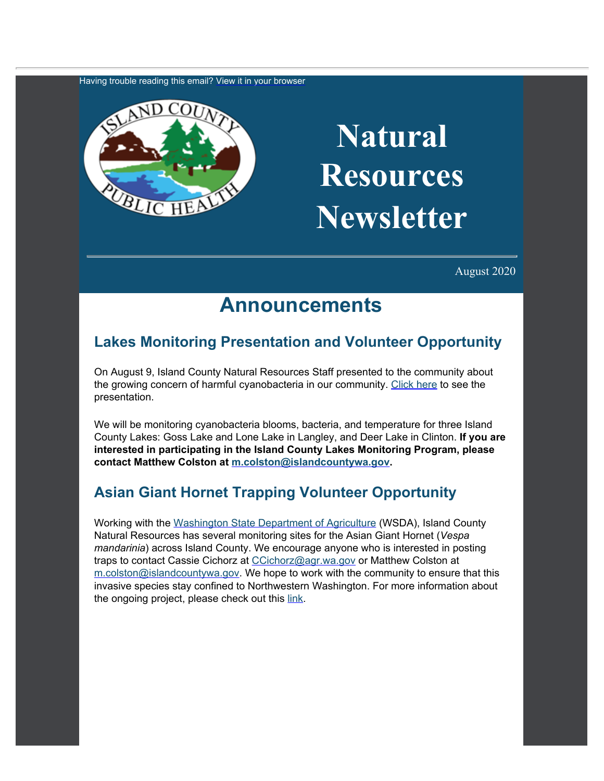Having trouble reading this email? [View](https://content.govdelivery.com/accounts/WACOISLAND/bulletins/2ed8379) [it in your browser](https://content.govdelivery.com/accounts/WACOISLAND/bulletins/2ed8379)



# **Natural Resources Newsletter**

August 2020

## **Announcements**

#### **Lakes Monitoring Presentation and Volunteer Opportunity**

On August 9, Island County Natural Resources Staff presented to the community about the growing concern of harmful cyanobacteria in our community. [Click here](https://drive.google.com/drive/folders/10Ag_qhHEcJlZOzu_NOKcGra2mkUGU4Ot?usp=sharing&utm_content=&utm_medium=email&utm_name=&utm_source=govdelivery&utm_term=) to see the presentation.

We will be monitoring cyanobacteria blooms, bacteria, and temperature for three Island County Lakes: Goss Lake and Lone Lake in Langley, and Deer Lake in Clinton. **If you are interested in participating in the Island County Lakes Monitoring Program, please contact Matthew Colston at [m.colston@islandcountywa.gov](mailto:m.colston@islandcountywa.gov).**

#### **Asian Giant Hornet Trapping Volunteer Opportunity**

Working with the [Washington State](https://agr.wa.gov/?utm_content=&utm_medium=email&utm_name=&utm_source=govdelivery&utm_term=) [Department of Agriculture](https://agr.wa.gov/?utm_content=&utm_medium=email&utm_name=&utm_source=govdelivery&utm_term=) (WSDA), Island County Natural Resources has several monitoring sites for the Asian Giant Hornet (*Vespa mandarinia*) across Island County. We encourage anyone who is interested in posting traps to contact Cassie Cichorz at [CCichorz@agr.wa.gov](mailto:CCichorz@agr.wa.gov) or Matthew Colston at [m.colston@islandcountywa.gov.](mailto:m.colston@islandcountywa.gov) We hope to work with the community to ensure that this invasive species stay confined to Northwestern Washington. For more information about the ongoing project, please check out this [link](https://agr.wa.gov/departments/insects-pests-and-weeds/insects/hornets/trapping?utm_content=&utm_medium=email&utm_name=&utm_source=govdelivery&utm_term=).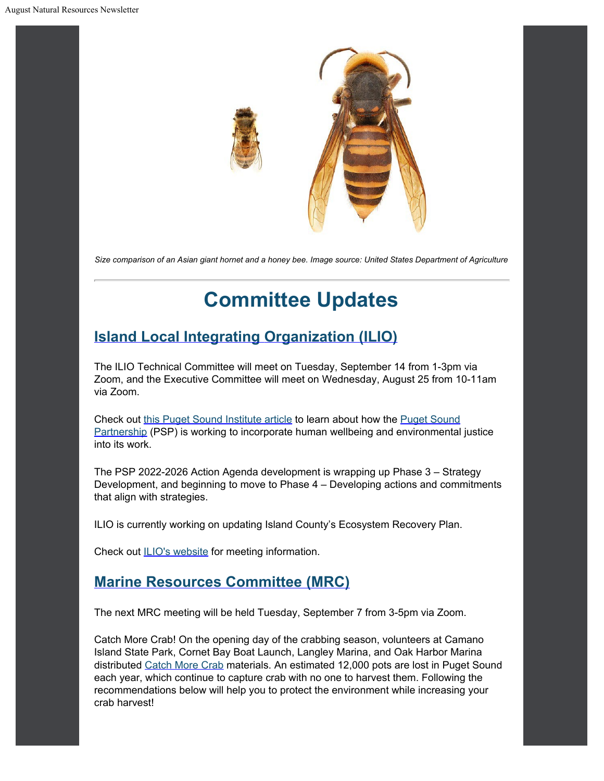

*Size comparison of an Asian giant hornet and a honey bee. Image source: United States Department of Agriculture*

## **Committee Updates**

#### **[Island Local Integrating](https://www.islandcountywa.gov/Health/DNR/ILIO/Pages/Home.aspx?utm_content=&utm_medium=email&utm_name=&utm_source=govdelivery&utm_term=) [Organization \(ILIO\)](https://www.islandcountywa.gov/Health/DNR/ILIO/Pages/Home.aspx?utm_content=&utm_medium=email&utm_name=&utm_source=govdelivery&utm_term=)**

The ILIO Technical Committee will meet on Tuesday, September 14 from 1-3pm via Zoom, and the Executive Committee will meet on Wednesday, August 25 from 10-11am via Zoom.

Check out [this Puget Sound](https://www.pugetsoundinstitute.org/2021/06/puget-sound-partnership-takes-closer-look-at-human-well-being-and-environmental-justice/?utm_content=&utm_medium=email&utm_name=&utm_source=govdelivery&utm_term=) [Institute article](https://www.pugetsoundinstitute.org/2021/06/puget-sound-partnership-takes-closer-look-at-human-well-being-and-environmental-justice/?utm_content=&utm_medium=email&utm_name=&utm_source=govdelivery&utm_term=) to learn about how the [Puget Sound](https://www.psp.wa.gov/?utm_content=&utm_medium=email&utm_name=&utm_source=govdelivery&utm_term=) [Partnership](https://www.psp.wa.gov/?utm_content=&utm_medium=email&utm_name=&utm_source=govdelivery&utm_term=) (PSP) is working to incorporate human wellbeing and environmental justice into its work.

The PSP 2022-2026 Action Agenda development is wrapping up Phase 3 – Strategy Development, and beginning to move to Phase 4 – Developing actions and commitments that align with strategies.

ILIO is currently working on updating Island County's Ecosystem Recovery Plan.

Check out **ILIO's website for meeting information.** 

#### **[Marine Resources Committee \(MRC\)](https://www.islandcountymrc.org/?utm_content=&utm_medium=email&utm_name=&utm_source=govdelivery&utm_term=)**

The next MRC meeting will be held Tuesday, September 7 from 3-5pm via Zoom.

Catch More Crab! On the opening day of the crabbing season, volunteers at Camano Island State Park, Cornet Bay Boat Launch, Langley Marina, and Oak Harbor Marina distributed [Catch More Crab](https://nwstraitsfoundation.org/project/recreational-crabbing-resources/?utm_content=&utm_medium=email&utm_name=&utm_source=govdelivery&utm_term=) materials. An estimated 12,000 pots are lost in Puget Sound each year, which continue to capture crab with no one to harvest them. Following the recommendations below will help you to protect the environment while increasing your crab harvest!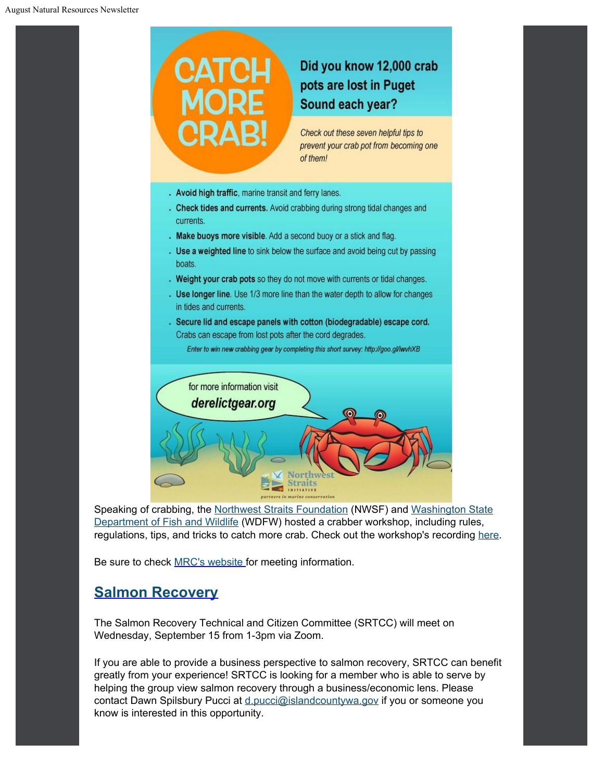

Speaking of crabbing, the [Northwest Straits](https://nwstraitsfoundation.org/?utm_content=&utm_medium=email&utm_name=&utm_source=govdelivery&utm_term=) [Foundation](https://nwstraitsfoundation.org/?utm_content=&utm_medium=email&utm_name=&utm_source=govdelivery&utm_term=) (NWSF) and [Washington State](https://wdfw.wa.gov/?utm_content=&utm_medium=email&utm_name=&utm_source=govdelivery&utm_term=) [Department of Fish and Wildlife](https://wdfw.wa.gov/?utm_content=&utm_medium=email&utm_name=&utm_source=govdelivery&utm_term=) (WDFW) hosted a crabber workshop, including rules, regulations, tips, and tricks to catch more crab. Check out the workshop's recording [here](https://www.youtube.com/watch?utm_content=&utm_medium=email&utm_name=&utm_source=govdelivery&utm_term=&v=fkHTiCBjEPg).

Be sure to check **[MRC's website](https://www.islandcountymrc.org/meetings-events/?utm_content=&utm_medium=email&utm_name=&utm_source=govdelivery&utm_term=) for meeting information**.

#### **[Salmon Recovery](https://www.islandcountywa.gov/Health/DNR/Salmon/Pages/Home.aspx?utm_content=&utm_medium=email&utm_name=&utm_source=govdelivery&utm_term=)**

The Salmon Recovery Technical and Citizen Committee (SRTCC) will meet on Wednesday, September 15 from 1-3pm via Zoom.

If you are able to provide a business perspective to salmon recovery, SRTCC can benefit greatly from your experience! SRTCC is looking for a member who is able to serve by helping the group view salmon recovery through a business/economic lens. Please contact Dawn Spilsbury Pucci at [d.pucci@islandcountywa.gov](mailto:d.pucci@islandcountywa.gov) if you or someone you know is interested in this opportunity.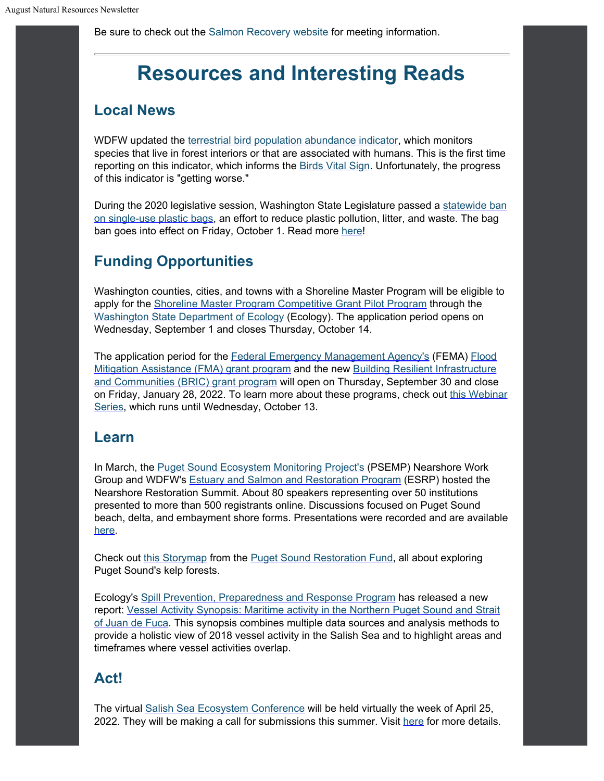Be sure to check out the [Salmon Recovery website](https://www.islandcountywa.gov/Health/DNR/Salmon/Pages/SRTCC-Meeting-Notes.aspx?utm_content=&utm_medium=email&utm_name=&utm_source=govdelivery&utm_term=) for meeting information.

## **Resources and Interesting Reads**

#### **Local News**

WDFW updated the [terrestrial bird](https://vitalsigns.pugetsoundinfo.wa.gov/VitalSignIndicator/Detail/2?utm_content=&utm_medium=email&utm_name=&utm_source=govdelivery&utm_term=) [population abundance indicator,](https://vitalsigns.pugetsoundinfo.wa.gov/VitalSignIndicator/Detail/2?utm_content=&utm_medium=email&utm_name=&utm_source=govdelivery&utm_term=) which monitors species that live in forest interiors or that are associated with humans. This is the first time reporting on this indicator, which informs the [Birds Vital Sign](https://vitalsigns.pugetsoundinfo.wa.gov/VitalSign/Detail/17?utm_content=&utm_medium=email&utm_name=&utm_source=govdelivery&utm_term=). Unfortunately, the progress of this indicator is "getting worse."

During the 2020 legislative session, Washington State Legislature passed a [statewide](https://app.leg.wa.gov/RCW/default.aspx?cite=70A.530&utm_content=&utm_medium=email&utm_name=&utm_source=govdelivery&utm_term=) [ban](https://app.leg.wa.gov/RCW/default.aspx?cite=70A.530&utm_content=&utm_medium=email&utm_name=&utm_source=govdelivery&utm_term=) [on single-use](https://app.leg.wa.gov/RCW/default.aspx?cite=70A.530&utm_content=&utm_medium=email&utm_name=&utm_source=govdelivery&utm_term=) plastic bags, an effort to reduce plastic pollution, litter, and waste. The bag ban goes into effect on Friday, October 1. Read more [here](https://ecology.wa.gov/Waste-Toxics/Reducing-recycling-waste/Plastic-bag-ban?utm_content=&utm_medium=email&utm_name=&utm_source=govdelivery&utm_term=)!

### **Funding Opportunities**

Washington counties, cities, and towns with a Shoreline Master Program will be eligible to apply for the [Shoreline Master](https://ecology.wa.gov/About-us/Payments-contracts-grants/Grants-loans/Find-a-grant-or-loan/SMP-competitive-grant-pilot-program?utm_content=&utm_medium=email&utm_name=&utm_source=govdelivery&utm_term=) [Program Competitive Grant Pilot Program](https://ecology.wa.gov/About-us/Payments-contracts-grants/Grants-loans/Find-a-grant-or-loan/SMP-competitive-grant-pilot-program?utm_content=&utm_medium=email&utm_name=&utm_source=govdelivery&utm_term=) through the [Washington State](https://ecology.wa.gov/?utm_content=&utm_medium=email&utm_name=&utm_source=govdelivery&utm_term=) [Department of Ecology](https://ecology.wa.gov/?utm_content=&utm_medium=email&utm_name=&utm_source=govdelivery&utm_term=) (Ecology). The application period opens on Wednesday, September 1 and closes Thursday, October 14.

The application period for the [Federal Emergency](https://www.fema.gov/?utm_content=&utm_medium=email&utm_name=&utm_source=govdelivery&utm_term=) [Management Agency's](https://www.fema.gov/?utm_content=&utm_medium=email&utm_name=&utm_source=govdelivery&utm_term=) (FEMA) [Flood](https://www.fema.gov/grants/mitigation/floods?utm_content=&utm_medium=email&utm_name=&utm_source=govdelivery&utm_term=) [Mitigation](https://www.fema.gov/grants/mitigation/floods?utm_content=&utm_medium=email&utm_name=&utm_source=govdelivery&utm_term=) [Assistance \(FMA\) grant program](https://www.fema.gov/grants/mitigation/floods?utm_content=&utm_medium=email&utm_name=&utm_source=govdelivery&utm_term=) and the new [Building Resilient](https://www.fema.gov/grants/mitigation/building-resilient-infrastructure-communities?utm_content=&utm_medium=email&utm_name=&utm_source=govdelivery&utm_term=) [Infrastructure](https://www.fema.gov/grants/mitigation/building-resilient-infrastructure-communities?utm_content=&utm_medium=email&utm_name=&utm_source=govdelivery&utm_term=) [and Communities \(BRIC\) grant program](https://www.fema.gov/grants/mitigation/building-resilient-infrastructure-communities?utm_content=&utm_medium=email&utm_name=&utm_source=govdelivery&utm_term=) will open on Thursday, September 30 and close on Friday, January 28, 2022. To learn more about these programs, check out [this Webinar](https://www.fema.gov/grants/mitigation/2021-building-resilient-infrastructure-and-communities-and-flood-mitigation-assistance-programs?utm_content=&utm_medium=email&utm_name=&utm_source=govdelivery&utm_term=) [Series](https://www.fema.gov/grants/mitigation/2021-building-resilient-infrastructure-and-communities-and-flood-mitigation-assistance-programs?utm_content=&utm_medium=email&utm_name=&utm_source=govdelivery&utm_term=), which runs until Wednesday, October 13.

#### **Learn**

In March, the [Puget Sound Ecosystem](https://www.psp.wa.gov/PSEMP-overview.php?utm_content=&utm_medium=email&utm_name=&utm_source=govdelivery&utm_term=) [Monitoring Project's](https://www.psp.wa.gov/PSEMP-overview.php?utm_content=&utm_medium=email&utm_name=&utm_source=govdelivery&utm_term=) (PSEMP) Nearshore Work Group and WDFW's **Estuary and Salmon and [Restoration Program](https://wdfw.wa.gov/species-habitats/habitat-recovery/nearshore/conservation/programs/esrp?utm_content=&utm_medium=email&utm_name=&utm_source=govdelivery&utm_term=)** (ESRP) hosted the Nearshore Restoration Summit. About 80 speakers representing over 50 institutions presented to more than 500 registrants online. Discussions focused on Puget Sound beach, delta, and embayment shore forms. Presentations were recorded and are available [here.](https://www.youtube.com/playlist?list=PLo22nBM4mjeRzh21_R8Mm5XLO59XXkAGU&utm_content=&utm_medium=email&utm_name=&utm_source=govdelivery&utm_term=)

Check out [this Storymap](https://storymaps.arcgis.com/stories/124e9d24ec1d4e419ea4e32a5ccb42fa?utm_content=&utm_medium=email&utm_name=&utm_source=govdelivery&utm_term=) from the [Puget Sound Restoration](https://restorationfund.org/?utm_content=&utm_medium=email&utm_name=&utm_source=govdelivery&utm_term=) [Fund](https://restorationfund.org/?utm_content=&utm_medium=email&utm_name=&utm_source=govdelivery&utm_term=), all about exploring Puget Sound's kelp forests.

Ecology's [Spill Prevention,](https://ecology.wa.gov/About-us/Who-we-are/Our-Programs/Spills-Prevention-Preparedness-Response?utm_content=&utm_medium=email&utm_name=&utm_source=govdelivery&utm_term=) [Preparedness and Response Program](https://ecology.wa.gov/About-us/Who-we-are/Our-Programs/Spills-Prevention-Preparedness-Response?utm_content=&utm_medium=email&utm_name=&utm_source=govdelivery&utm_term=) has released a new report: [Vessel Activity](https://apps.ecology.wa.gov/publications/SummaryPages/2108008.html?utm_content=&utm_medium=email&utm_name=&utm_source=govdelivery&utm_term=) [Synopsis: Maritime activity in the Northern Puget Sound and Strait](https://apps.ecology.wa.gov/publications/SummaryPages/2108008.html?utm_content=&utm_medium=email&utm_name=&utm_source=govdelivery&utm_term=) [of](https://apps.ecology.wa.gov/publications/SummaryPages/2108008.html?utm_content=&utm_medium=email&utm_name=&utm_source=govdelivery&utm_term=) [Juan de Fuca](https://apps.ecology.wa.gov/publications/SummaryPages/2108008.html?utm_content=&utm_medium=email&utm_name=&utm_source=govdelivery&utm_term=). This synopsis combines multiple data sources and analysis methods to provide a holistic view of 2018 vessel activity in the Salish Sea and to highlight areas and timeframes where vessel activities overlap.

#### **Act!**

The virtual [Salish Sea Ecosystem](https://salishseaconference.com/?utm_content=&utm_medium=email&utm_name=&utm_source=govdelivery&utm_term=) [Conference](https://salishseaconference.com/?utm_content=&utm_medium=email&utm_name=&utm_source=govdelivery&utm_term=) will be held virtually the week of April 25, 2022. They will be making a call for submissions this summer. Visit [here](https://salishseaconference.com/?utm_content=&utm_medium=email&utm_name=&utm_source=govdelivery&utm_term=) for more details.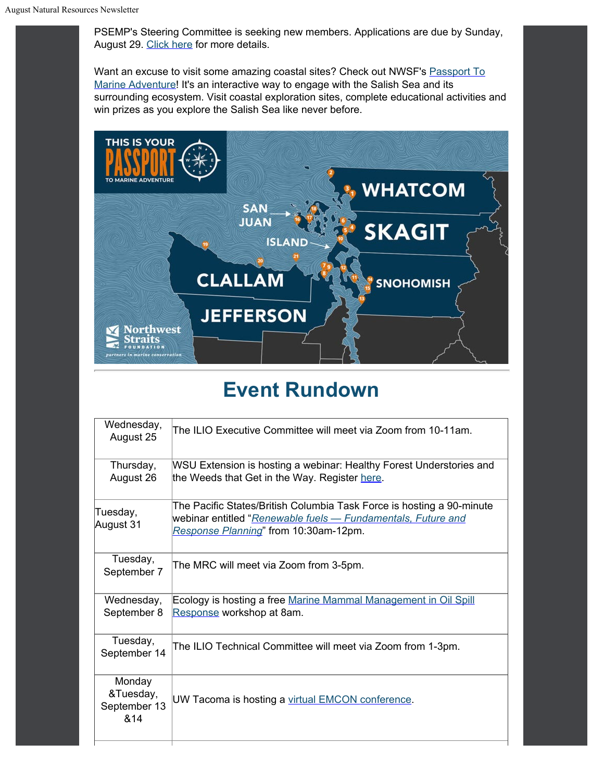PSEMP's Steering Committee is seeking new members. Applications are due by Sunday, August 29. [Click here](https://pspwa.app.box.com/s/673mmey9870kpwxvn5ndvc2xtyuhu6c0?utm_content=&utm_medium=email&utm_name=&utm_source=govdelivery&utm_term=) for more details.

Want an excuse to visit some amazing coastal sites? Check out NWSF's [Passport To](https://nwstraitsfoundation.org/activities/passport-to-marine-adventure/?eId=faba05b1-a607-4108-956b-14db1ecf5169&eType=EmailBlastContent&utm_content=&utm_medium=email&utm_name=&utm_source=govdelivery&utm_term=) [Marine](https://nwstraitsfoundation.org/activities/passport-to-marine-adventure/?eId=faba05b1-a607-4108-956b-14db1ecf5169&eType=EmailBlastContent&utm_content=&utm_medium=email&utm_name=&utm_source=govdelivery&utm_term=) [Adventure](https://nwstraitsfoundation.org/activities/passport-to-marine-adventure/?eId=faba05b1-a607-4108-956b-14db1ecf5169&eType=EmailBlastContent&utm_content=&utm_medium=email&utm_name=&utm_source=govdelivery&utm_term=)! It's an interactive way to engage with the Salish Sea and its surrounding ecosystem. Visit coastal exploration sites, complete educational activities and win prizes as you explore the Salish Sea like never before.



## **Event Rundown**

| Wednesday,<br>August 25                    | The ILIO Executive Committee will meet via Zoom from 10-11am.                                                                                                                  |
|--------------------------------------------|--------------------------------------------------------------------------------------------------------------------------------------------------------------------------------|
| Thursday,<br>August 26                     | WSU Extension is hosting a webinar: Healthy Forest Understories and<br>the Weeds that Get in the Way. Register here.                                                           |
| Tuesday,<br>August 31                      | The Pacific States/British Columbia Task Force is hosting a 90-minute<br>webinar entitled "Renewable fuels - Fundamentals, Future and<br>Response Planning" from 10:30am-12pm. |
| Tuesday,<br>September 7                    | The MRC will meet via Zoom from 3-5pm.                                                                                                                                         |
| Wednesday,<br>September 8                  | Ecology is hosting a free Marine Mammal Management in Oil Spill<br>Response workshop at 8am.                                                                                   |
| Tuesday,<br>September 14                   | The ILIO Technical Committee will meet via Zoom from 1-3pm.                                                                                                                    |
| Monday<br>&Tuesday,<br>September 13<br>&14 | UW Tacoma is hosting a virtual EMCON conference.                                                                                                                               |